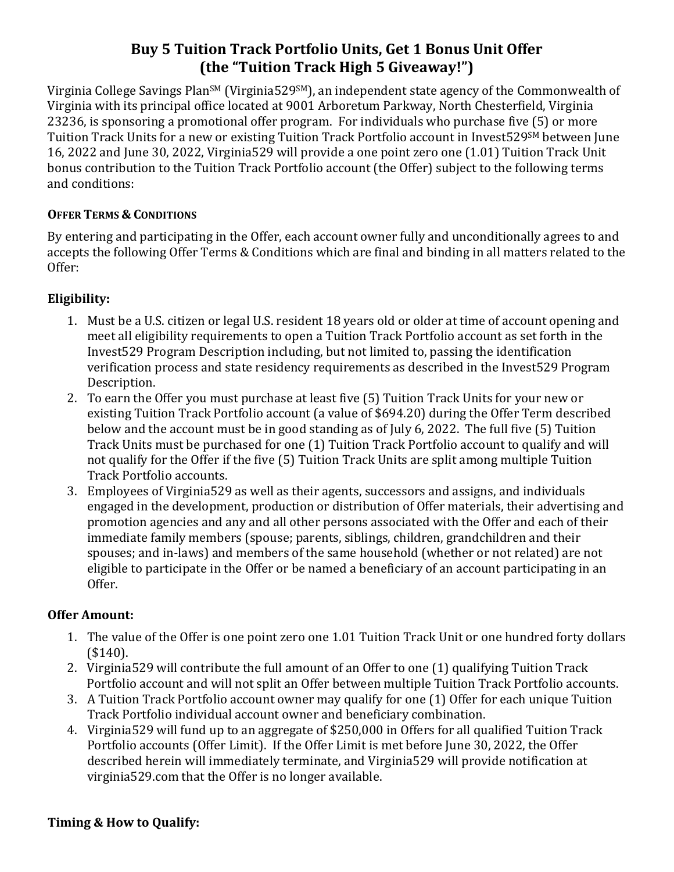# **Buy 5 Tuition Track Portfolio Units, Get 1 Bonus Unit Offer (the "Tuition Track High 5 Giveaway!")**

Virginia College Savings Plan<sup>sM</sup> (Virginia529<sup>SM</sup>), an independent state agency of the Commonwealth of Virginia with its principal office located at 9001 Arboretum Parkway, North Chesterfield, Virginia 23236, is sponsoring a promotional offer program. For individuals who purchase five (5) or more Tuition Track Units for a new or existing Tuition Track Portfolio account in Invest529SM between June 16, 2022 and June 30, 2022, Virginia529 will provide a one point zero one (1.01) Tuition Track Unit bonus contribution to the Tuition Track Portfolio account (the Offer) subject to the following terms and conditions:

#### **OFFER TERMS & CONDITIONS**

By entering and participating in the Offer, each account owner fully and unconditionally agrees to and accepts the following Offer Terms & Conditions which are final and binding in all matters related to the Offer:

### **Eligibility:**

- 1. Must be a U.S. citizen or legal U.S. resident 18 years old or older at time of account opening and meet all eligibility requirements to open a Tuition Track Portfolio account as set forth in the Invest529 Program Description including, but not limited to, passing the identification verification process and state residency requirements as described in the Invest529 Program Description.
- 2. To earn the Offer you must purchase at least five (5) Tuition Track Units for your new or existing Tuition Track Portfolio account (a value of \$694.20) during the Offer Term described below and the account must be in good standing as of July 6, 2022. The full five (5) Tuition Track Units must be purchased for one (1) Tuition Track Portfolio account to qualify and will not qualify for the Offer if the five (5) Tuition Track Units are split among multiple Tuition Track Portfolio accounts.
- 3. Employees of Virginia529 as well as their agents, successors and assigns, and individuals engaged in the development, production or distribution of Offer materials, their advertising and promotion agencies and any and all other persons associated with the Offer and each of their immediate family members (spouse; parents, siblings, children, grandchildren and their spouses; and in-laws) and members of the same household (whether or not related) are not eligible to participate in the Offer or be named a beneficiary of an account participating in an Offer.

### **Offer Amount:**

- 1. The value of the Offer is one point zero one 1.01 Tuition Track Unit or one hundred forty dollars (\$140).
- 2. Virginia529 will contribute the full amount of an Offer to one (1) qualifying Tuition Track Portfolio account and will not split an Offer between multiple Tuition Track Portfolio accounts.
- 3. A Tuition Track Portfolio account owner may qualify for one (1) Offer for each unique Tuition Track Portfolio individual account owner and beneficiary combination.
- 4. Virginia529 will fund up to an aggregate of \$250,000 in Offers for all qualified Tuition Track Portfolio accounts (Offer Limit). If the Offer Limit is met before June 30, 2022, the Offer described herein will immediately terminate, and Virginia529 will provide notification at virginia529.com that the Offer is no longer available.

### **Timing & How to Qualify:**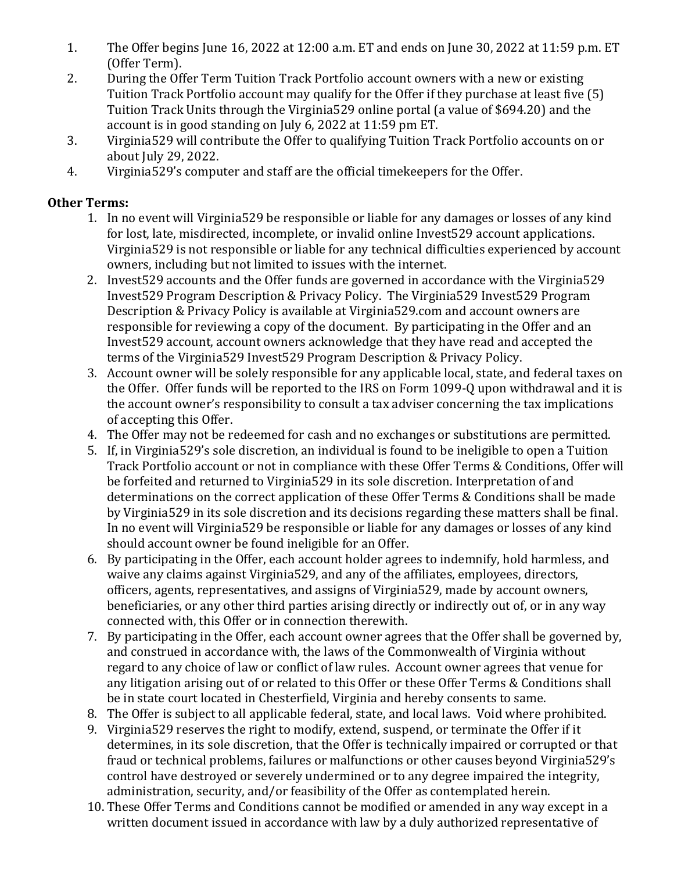- 1. The Offer begins June 16, 2022 at 12:00 a.m. ET and ends on June 30, 2022 at 11:59 p.m. ET (Offer Term).
- 2. During the Offer Term Tuition Track Portfolio account owners with a new or existing Tuition Track Portfolio account may qualify for the Offer if they purchase at least five (5) Tuition Track Units through the Virginia529 online portal (a value of \$694.20) and the account is in good standing on July 6, 2022 at 11:59 pm ET.
- 3. Virginia529 will contribute the Offer to qualifying Tuition Track Portfolio accounts on or about July 29, 2022.
- 4. Virginia529's computer and staff are the official timekeepers for the Offer.

## **Other Terms:**

- 1. In no event will Virginia529 be responsible or liable for any damages or losses of any kind for lost, late, misdirected, incomplete, or invalid online Invest529 account applications. Virginia529 is not responsible or liable for any technical difficulties experienced by account owners, including but not limited to issues with the internet.
- 2. Invest529 accounts and the Offer funds are governed in accordance with the Virginia529 Invest529 Program Description & Privacy Policy. The Virginia529 Invest529 Program Description & Privacy Policy is available at Virginia529.com and account owners are responsible for reviewing a copy of the document. By participating in the Offer and an Invest529 account, account owners acknowledge that they have read and accepted the terms of the Virginia529 Invest529 Program Description & Privacy Policy.
- 3. Account owner will be solely responsible for any applicable local, state, and federal taxes on the Offer. Offer funds will be reported to the IRS on Form 1099-Q upon withdrawal and it is the account owner's responsibility to consult a tax adviser concerning the tax implications of accepting this Offer.
- 4. The Offer may not be redeemed for cash and no exchanges or substitutions are permitted.
- 5. If, in Virginia529's sole discretion, an individual is found to be ineligible to open a Tuition Track Portfolio account or not in compliance with these Offer Terms & Conditions, Offer will be forfeited and returned to Virginia529 in its sole discretion. Interpretation of and determinations on the correct application of these Offer Terms & Conditions shall be made by Virginia529 in its sole discretion and its decisions regarding these matters shall be final. In no event will Virginia529 be responsible or liable for any damages or losses of any kind should account owner be found ineligible for an Offer.
- 6. By participating in the Offer, each account holder agrees to indemnify, hold harmless, and waive any claims against Virginia529, and any of the affiliates, employees, directors, officers, agents, representatives, and assigns of Virginia529, made by account owners, beneficiaries, or any other third parties arising directly or indirectly out of, or in any way connected with, this Offer or in connection therewith.
- 7. By participating in the Offer, each account owner agrees that the Offer shall be governed by, and construed in accordance with, the laws of the Commonwealth of Virginia without regard to any choice of law or conflict of law rules. Account owner agrees that venue for any litigation arising out of or related to this Offer or these Offer Terms & Conditions shall be in state court located in Chesterfield, Virginia and hereby consents to same.
- 8. The Offer is subject to all applicable federal, state, and local laws. Void where prohibited.
- 9. Virginia529 reserves the right to modify, extend, suspend, or terminate the Offer if it determines, in its sole discretion, that the Offer is technically impaired or corrupted or that fraud or technical problems, failures or malfunctions or other causes beyond Virginia529's control have destroyed or severely undermined or to any degree impaired the integrity, administration, security, and/or feasibility of the Offer as contemplated herein.
- 10. These Offer Terms and Conditions cannot be modified or amended in any way except in a written document issued in accordance with law by a duly authorized representative of